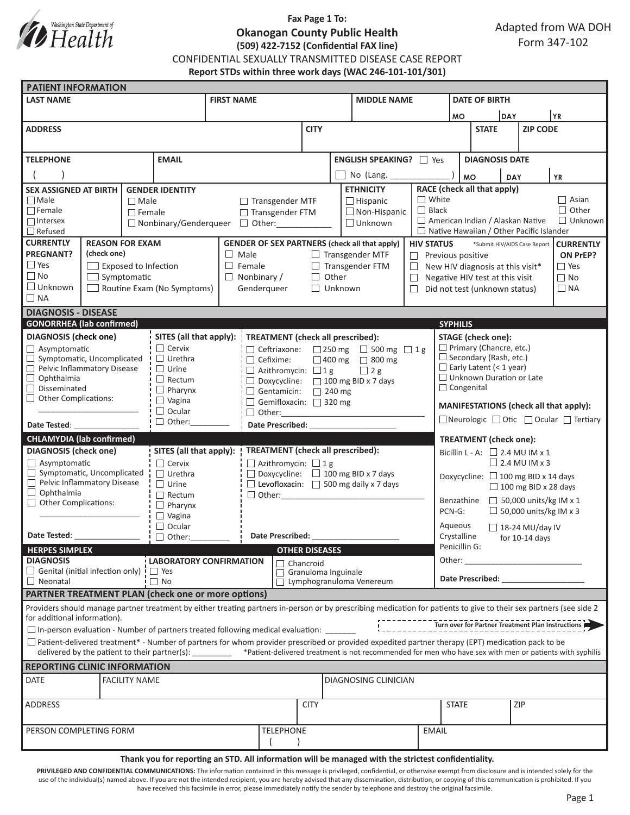

# **Fax Page 1 To: Okanogan County Public Health (509) 422-7152 (Confidential FAX line)**

CONFIDENTIAL SEXUALLY TRANSMITTED DISEASE CASE REPORT

**Report STDs within three work days (WAC 246-101-101/301)**

| <b>PATIENT INFORMATION</b>                                                     |  |                      |                                   |                                  |                                                                                                                                                                     |                                                                      |                                       |                      |                                                                                                   |                                                             |                                                           |                                            |                               |  |  |
|--------------------------------------------------------------------------------|--|----------------------|-----------------------------------|----------------------------------|---------------------------------------------------------------------------------------------------------------------------------------------------------------------|----------------------------------------------------------------------|---------------------------------------|----------------------|---------------------------------------------------------------------------------------------------|-------------------------------------------------------------|-----------------------------------------------------------|--------------------------------------------|-------------------------------|--|--|
| <b>LAST NAME</b>                                                               |  |                      |                                   | <b>FIRST NAME</b>                |                                                                                                                                                                     |                                                                      |                                       | <b>MIDDLE NAME</b>   |                                                                                                   |                                                             | <b>DATE OF BIRTH</b>                                      |                                            |                               |  |  |
|                                                                                |  |                      |                                   |                                  |                                                                                                                                                                     |                                                                      |                                       |                      |                                                                                                   |                                                             | <b>DAY</b><br><b>MO</b>                                   |                                            | YR                            |  |  |
| <b>ADDRESS</b>                                                                 |  |                      |                                   |                                  | <b>CITY</b>                                                                                                                                                         |                                                                      |                                       |                      |                                                                                                   | <b>STATE</b>                                                |                                                           | <b>ZIP CODE</b>                            |                               |  |  |
|                                                                                |  |                      |                                   |                                  |                                                                                                                                                                     |                                                                      |                                       |                      |                                                                                                   |                                                             |                                                           |                                            |                               |  |  |
| <b>EMAIL</b><br><b>TELEPHONE</b>                                               |  |                      |                                   |                                  |                                                                                                                                                                     | <b>ENGLISH SPEAKING?</b> □ Yes                                       |                                       |                      |                                                                                                   |                                                             | <b>DIAGNOSIS DATE</b>                                     |                                            |                               |  |  |
|                                                                                |  |                      | No (Lang.                         |                                  |                                                                                                                                                                     |                                                                      |                                       | <b>MO</b>            |                                                                                                   |                                                             |                                                           |                                            |                               |  |  |
| <b>GENDER IDENTITY</b>                                                         |  |                      | <b>ETHNICITY</b>                  |                                  |                                                                                                                                                                     |                                                                      |                                       |                      |                                                                                                   | <b>YR</b><br><b>DAY</b>                                     |                                                           |                                            |                               |  |  |
| <b>SEX ASSIGNED AT BIRTH</b><br>$\Box$ Male<br>$\Box$ Male                     |  |                      |                                   |                                  | $\Box$ Transgender MTF<br>$\Box$ Hispanic                                                                                                                           |                                                                      |                                       |                      | RACE (check all that apply)<br>$\Box$ White<br>$\Box$ Asian                                       |                                                             |                                                           |                                            |                               |  |  |
| $\Box$ Female                                                                  |  | $\Box$ Female        |                                   |                                  | □ Transgender FTM                                                                                                                                                   |                                                                      |                                       | $\Box$ Non-Hispanic  | $\Box$ Black                                                                                      | $\Box$ Other                                                |                                                           |                                            |                               |  |  |
| $\Box$ Intersex                                                                |  |                      |                                   | □ Nonbinary/Genderqueer □ Other: |                                                                                                                                                                     |                                                                      |                                       | $\Box$ Unknown       |                                                                                                   |                                                             | $\Box$ Unknown<br>$\Box$ American Indian / Alaskan Native |                                            |                               |  |  |
| $\Box$ Refused                                                                 |  |                      |                                   |                                  |                                                                                                                                                                     |                                                                      |                                       |                      | $\Box$ Native Hawaiian / Other Pacific Islander                                                   |                                                             |                                                           |                                            |                               |  |  |
| <b>CURRENTLY</b><br><b>REASON FOR EXAM</b><br><b>PREGNANT?</b><br>(check one)  |  |                      |                                   |                                  | <b>GENDER OF SEX PARTNERS (check all that apply)</b><br>$\Box$ Transgender MTF                                                                                      |                                                                      |                                       |                      | <b>HIV STATUS</b><br>*Submit HIV/AIDS Case Report<br><b>CURRENTLY</b>                             |                                                             |                                                           |                                            |                               |  |  |
| $\square$ Yes<br>$\Box$ Exposed to Infection                                   |  |                      | $\Box$ Male<br>$\Box$ Female      |                                  |                                                                                                                                                                     | $\Box$ Transgender FTM                                               |                                       |                      | Previous positive<br>ON PrEP?<br>$\Box$<br>$\Box$ Yes                                             |                                                             |                                                           |                                            |                               |  |  |
| $\square$ No<br>$\Box$ Symptomatic                                             |  |                      |                                   |                                  | $\Box$ Nonbinary /                                                                                                                                                  | $\Box$ Other                                                         |                                       |                      | $\Box$ New HIV diagnosis at this visit*<br>$\Box$ No<br>$\Box$<br>Negative HIV test at this visit |                                                             |                                                           |                                            |                               |  |  |
| $\Box$ Unknown                                                                 |  |                      | $\Box$ Routine Exam (No Symptoms) |                                  | Genderqueer                                                                                                                                                         | $\Box$ Unknown                                                       |                                       |                      | $\Box$ NA<br>$\Box$<br>Did not test (unknown status)                                              |                                                             |                                                           |                                            |                               |  |  |
| $\Box$ NA                                                                      |  |                      |                                   |                                  |                                                                                                                                                                     |                                                                      |                                       |                      |                                                                                                   |                                                             |                                                           |                                            |                               |  |  |
| <b>DIAGNOSIS - DISEASE</b>                                                     |  |                      |                                   |                                  |                                                                                                                                                                     |                                                                      |                                       |                      |                                                                                                   |                                                             |                                                           |                                            |                               |  |  |
| <b>GONORRHEA</b> (lab confirmed)<br><b>SYPHILIS</b>                            |  |                      |                                   |                                  |                                                                                                                                                                     |                                                                      |                                       |                      |                                                                                                   |                                                             |                                                           |                                            |                               |  |  |
| <b>DIAGNOSIS</b> (check one)                                                   |  |                      | SITES (all that apply):           |                                  | <b>TREATMENT</b> (check all prescribed):                                                                                                                            |                                                                      |                                       |                      | <b>STAGE</b> (check one):                                                                         |                                                             |                                                           |                                            |                               |  |  |
| □ Asymptomatic                                                                 |  |                      | $\Box$ Cervix                     |                                  | □ Ceftriaxone:<br>□ 250 mg □ 500 mg □ 1g                                                                                                                            |                                                                      |                                       |                      |                                                                                                   | $\Box$ Primary (Chancre, etc.)                              |                                                           |                                            |                               |  |  |
| Symptomatic, Uncomplicated                                                     |  |                      | $\Box$ Urethra                    |                                  | $\Box$ Cefixime:                                                                                                                                                    | □ 400 mg □ 800 mg                                                    |                                       |                      |                                                                                                   |                                                             | $\Box$ Secondary (Rash, etc.)                             |                                            |                               |  |  |
| Pelvic Inflammatory Disease<br>$\Box$ Ophthalmia                               |  |                      | $\Box$ Urine<br>$\Box$ Rectum     |                                  | $\Box$ 2 g<br>$\Box$ Azithromycin: $\Box$ 1 g                                                                                                                       |                                                                      |                                       |                      | $\Box$ Early Latent (< 1 year)<br>$\Box$ Unknown Duration or Late                                 |                                                             |                                                           |                                            |                               |  |  |
| $\Box$ Disseminated                                                            |  |                      | $\Box$ Pharynx                    |                                  |                                                                                                                                                                     | $\Box$ Doxycycline: $\Box$ 100 mg BID x 7 days<br>Gentamicin: 240 mg |                                       |                      |                                                                                                   | $\Box$ Congenital                                           |                                                           |                                            |                               |  |  |
| $\Box$ Other Complications:                                                    |  |                      | $\Box$ Vagina                     | Gemifloxacin: 320 mg             |                                                                                                                                                                     |                                                                      |                                       |                      |                                                                                                   |                                                             |                                                           |                                            |                               |  |  |
|                                                                                |  |                      | $\Box$ Ocular                     |                                  |                                                                                                                                                                     |                                                                      |                                       |                      | MANIFESTATIONS (check all that apply):                                                            |                                                             |                                                           |                                            |                               |  |  |
| Date Tested:                                                                   |  |                      | $\Box$ Other:                     |                                  |                                                                                                                                                                     |                                                                      | Date Prescribed: National Prescribed: |                      |                                                                                                   | $\Box$ Neurologic $\Box$ Otic $\Box$ Ocular $\Box$ Tertiary |                                                           |                                            |                               |  |  |
| <b>CHLAMYDIA (lab confirmed)</b>                                               |  |                      |                                   |                                  |                                                                                                                                                                     |                                                                      |                                       |                      |                                                                                                   |                                                             | <b>TREATMENT</b> (check one):                             |                                            |                               |  |  |
| <b>DIAGNOSIS</b> (check one)                                                   |  |                      | SITES (all that apply):           |                                  | <b>TREATMENT</b> (check all prescribed):                                                                                                                            |                                                                      |                                       |                      |                                                                                                   | Bicillin L - A: $\Box$ 2.4 MU IM x 1                        |                                                           |                                            |                               |  |  |
| $\Box$ Asymptomatic                                                            |  |                      | $\Box$ Cervix                     |                                  |                                                                                                                                                                     | $\Box$ Azithromycin: $\Box$ 1 g                                      |                                       |                      |                                                                                                   | $\Box$ 2.4 MU IM x 3                                        |                                                           |                                            |                               |  |  |
| $\Box$ Symptomatic, Uncomplicated                                              |  |                      | $\Box$ Urethra                    |                                  |                                                                                                                                                                     | $\Box$ Doxycycline: $\Box$ 100 mg BID x 7 days                       |                                       |                      |                                                                                                   | Doxycycline: □ 100 mg BID x 14 days                         |                                                           |                                            |                               |  |  |
| Pelvic Inflammatory Disease<br>$\Box$ Ophthalmia                               |  |                      | $\Box$ Urine                      |                                  | $\Box$ Levofloxacin: $\Box$ 500 mg daily x 7 days                                                                                                                   |                                                                      |                                       |                      |                                                                                                   |                                                             |                                                           | $\Box$ 100 mg BID x 28 days                |                               |  |  |
| Other Complications:                                                           |  |                      | $\Box$ Rectum<br>$\Box$ Pharynx   |                                  |                                                                                                                                                                     | $\Box$ Other:                                                        |                                       |                      |                                                                                                   | Benzathine                                                  |                                                           |                                            | $\Box$ 50,000 units/kg IM x 1 |  |  |
|                                                                                |  | $\Box$ Vagina        |                                   |                                  |                                                                                                                                                                     |                                                                      |                                       |                      | $\Box$ 50,000 units/kg IM x 3<br>PCN-G:                                                           |                                                             |                                                           |                                            |                               |  |  |
|                                                                                |  |                      | $\Box$ Ocular                     |                                  |                                                                                                                                                                     |                                                                      |                                       |                      |                                                                                                   | Aqueous<br>$\Box$ 18-24 MU/day IV                           |                                                           |                                            |                               |  |  |
|                                                                                |  |                      | $\Box$ Other:                     | Date Prescribed:                 |                                                                                                                                                                     |                                                                      |                                       |                      |                                                                                                   | Crystalline<br>for $10-14$ days                             |                                                           |                                            |                               |  |  |
| Penicillin G:<br><b>HERPES SIMPLEX</b><br><b>OTHER DISEASES</b>                |  |                      |                                   |                                  |                                                                                                                                                                     |                                                                      |                                       |                      |                                                                                                   |                                                             |                                                           |                                            |                               |  |  |
| <b>DIAGNOSIS</b>                                                               |  |                      | <b>LABORATORY CONFIRMATION</b>    |                                  | $\Box$ Chancroid                                                                                                                                                    |                                                                      |                                       |                      | Other:<br>the company of the company of the                                                       |                                                             |                                                           |                                            |                               |  |  |
| $\Box$ Genital (initial infection only) $\vdash$ $\Box$ Yes<br>$\Box$ Neonatal |  |                      | $\Box$ No                         |                                  |                                                                                                                                                                     | Granuloma Inguinale<br>$\Box$ Lymphogranuloma Venereum               |                                       |                      |                                                                                                   |                                                             |                                                           | Date Prescribed: Note that the prescribed: |                               |  |  |
| <b>PARTNER TREATMENT PLAN (check one or more options)</b>                      |  |                      |                                   |                                  |                                                                                                                                                                     |                                                                      |                                       |                      |                                                                                                   |                                                             |                                                           |                                            |                               |  |  |
|                                                                                |  |                      |                                   |                                  | Providers should manage partner treatment by either treating partners in-person or by prescribing medication for patients to give to their sex partners (see side 2 |                                                                      |                                       |                      |                                                                                                   |                                                             |                                                           |                                            |                               |  |  |
| for additional information).                                                   |  |                      |                                   |                                  |                                                                                                                                                                     |                                                                      |                                       |                      |                                                                                                   |                                                             |                                                           |                                            |                               |  |  |
|                                                                                |  |                      |                                   |                                  | $\square$ In-person evaluation - Number of partners treated following medical evaluation:                                                                           |                                                                      |                                       |                      |                                                                                                   |                                                             |                                                           |                                            |                               |  |  |
|                                                                                |  |                      |                                   |                                  | $\Box$ Patient-delivered treatment* - Number of partners for whom provider prescribed or provided expedited partner therapy (EPT) medication pack to be             |                                                                      |                                       |                      |                                                                                                   |                                                             |                                                           |                                            |                               |  |  |
|                                                                                |  |                      |                                   |                                  | delivered by the patient to their partner(s): ________ *Patient-delivered treatment is not recommended for men who have sex with men or patients with syphilis      |                                                                      |                                       |                      |                                                                                                   |                                                             |                                                           |                                            |                               |  |  |
| <b>REPORTING CLINIC INFORMATION</b>                                            |  |                      |                                   |                                  |                                                                                                                                                                     |                                                                      |                                       |                      |                                                                                                   |                                                             |                                                           |                                            |                               |  |  |
| DATE                                                                           |  | <b>FACILITY NAME</b> |                                   |                                  |                                                                                                                                                                     |                                                                      |                                       | DIAGNOSING CLINICIAN |                                                                                                   |                                                             |                                                           |                                            |                               |  |  |
|                                                                                |  |                      |                                   |                                  |                                                                                                                                                                     |                                                                      |                                       |                      |                                                                                                   |                                                             |                                                           |                                            |                               |  |  |
| ADDRESS                                                                        |  | <b>CITY</b>          |                                   |                                  |                                                                                                                                                                     | <b>STATE</b>                                                         |                                       |                      | <b>ZIP</b>                                                                                        |                                                             |                                                           |                                            |                               |  |  |
|                                                                                |  |                      |                                   |                                  |                                                                                                                                                                     |                                                                      |                                       |                      |                                                                                                   |                                                             |                                                           |                                            |                               |  |  |
| PERSON COMPLETING FORM                                                         |  |                      |                                   |                                  |                                                                                                                                                                     | <b>TELEPHONE</b>                                                     |                                       |                      | <b>EMAIL</b>                                                                                      |                                                             |                                                           |                                            |                               |  |  |
|                                                                                |  |                      |                                   |                                  |                                                                                                                                                                     |                                                                      |                                       |                      |                                                                                                   |                                                             |                                                           |                                            |                               |  |  |
|                                                                                |  |                      |                                   |                                  | Thank you for reporting an STD. All information will be managed with the strictest confidentiality.                                                                 |                                                                      |                                       |                      |                                                                                                   |                                                             |                                                           |                                            |                               |  |  |

PRIVILEGED AND CONFIDENTIAL COMMUNICATIONS: The information contained in this message is privileged, confidential, or otherwise exempt from disclosure and is intended solely for the use of the individual(s) named above. If you are not the intended recipient, you are hereby advised that any dissemination, distribution, or copying of this communication is prohibited. If you have received this facsimile in error, please immediately notify the sender by telephone and destroy the original facsimile.